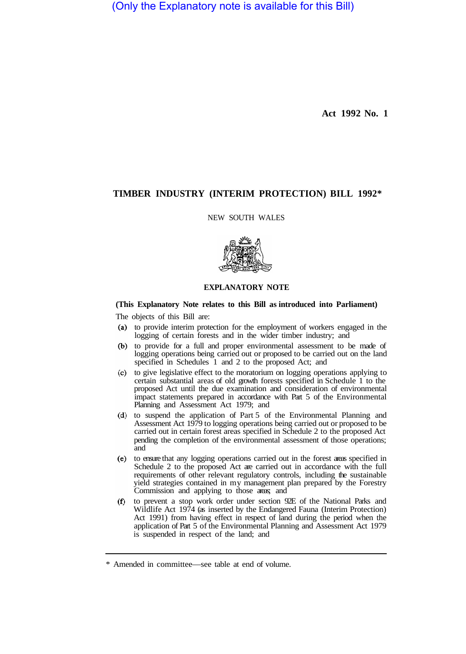(Only the Explanatory note is available for this Bill)

**Act 1992 No. 1** 

## **TIMBER INDUSTRY (INTERIM PROTECTION) BILL 1992\***

NEW SOUTH WALES



## **EXPLANATORY NOTE**

## **(This Explanatory Note relates to this Bill as introduced into Parliament)**

The objects of this Bill are:

- (a) to provide interim protection for the employment of workers engaged in the logging of certain forests and in the wider timber industry; and
- to provide for a full and proper environmental assessment to be made of logging operations being carried out or proposed to be carried out on the land specified in Schedules 1 and 2 to the proposed Act; and
- to give legislative effect to the moratorium on logging operations applying to certain substantial areas of old growth forests specified in Schedule 1 to the proposed Act until the due examination and consideration of environmental impact statements prepared in accordance with Part 5 of the Environmental Planning and Assessment Act 1979; and
- to suspend the application of Part 5 of the Environmental Planning and Assessment Act 1979 to logging operations being carried out or proposed to be carried out in certain forest areas specified in Schedule 2 to the proposed Act pending the completion of the environmental assessment of those operations; and
- to ensure that any logging operations carried out in the forest areas specified in Schedule 2 to the proposed Act are carried out in accordance with the full requirements of other relevant regulatory controls, including the sustainable yield strategies contained in my management plan prepared by the Forestry Commission and applying to those areas; and
- to prevent a stop work order under section 92E of the National Parks and Wildlife Act 1974 (as inserted by the Endangered Fauna (Interim Protection) Act 1991) from having effect in respect of land during the period when the application of Part 5 of the Environmental Planning and Assessment Act 1979 is suspended in respect of the land; and

<sup>\*</sup> Amended in committee—see table at end of volume.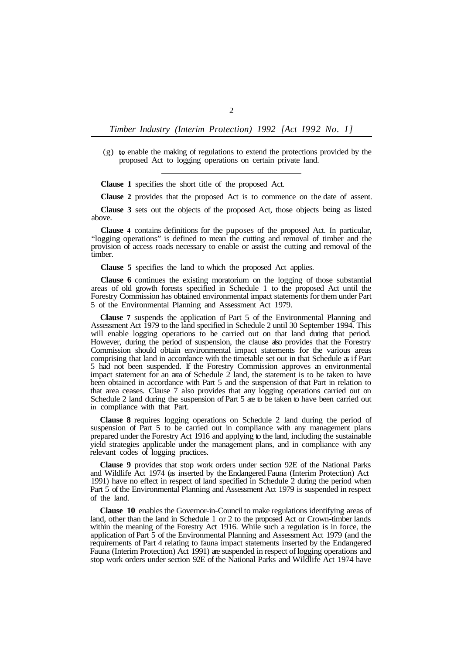*Timber Industry (Interim Protection) 1992 [Act I992 No. I]* 

 $(g)$  to enable the making of regulations to extend the protections provided by the proposed Act to logging operations on certain private land.

**Clause 1** specifies the short title of the proposed Act.

**Clause 2** provides that the proposed Act is to commence on the date of assent.

**Clause 3** sets out the objects of the proposed Act, those objects being as listed above.

**Clause 4** contains definitions for the puposes of the proposed Act. In particular, "logging operations" is defined to mean the cutting and removal of timber and the provision of access roads necessary to enable or assist the cutting and removal of the timber.

**Clause 5** specifies the land to which the proposed Act applies.

**Clause 6** continues the existing moratorium on the logging of those substantial areas of old growth forests specified in Schedule 1 to the proposed Act until the Forestry Commission has obtained environmental impact statements for them under Part 5 of the Environmental Planning and Assessment Act 1979.

**Clause 7** suspends the application of Part 5 of the Environmental Planning and Assessment Act 1979 to the land specified in Schedule 2 until 30 September 1994. This will enable logging operations to be carried out on that land during that period. However, during the period of suspension, the clause also provides that the Forestry Commission should obtain environmental impact statements for the various areas comprising that land in accordance with the timetable set out in that Schedule as if Part 5 had not been suspended. If the Forestry Commission approves an environmental impact statement for an area of Schedule 2 land, the statement is to be taken to have been obtained in accordance with Part 5 and the suspension of that Part in relation to that area ceases. Clause 7 also provides that any logging operations carried out on Schedule 2 land during the suspension of Part 5 are to be taken to have been carried out in compliance with that Part.

**Clause 8** requires logging operations on Schedule 2 land during the period of suspension of Part 5 to be carried out in compliance with any management plans prepared under the Forestry Act 1916 and applying to the land, including the sustainable yield strategies applicable under the management plans, and in compliance with any relevant codes of logging practices.

**Clause 9** provides that stop work orders under section 92E of the National Parks and Wildlife Act 1974 (as inserted by the Endangered Endangered Fauna (Interim Protection) Act 1991) have no effect in respect of land specified in Schedule 2 during the period when Part 5 of the Environmental Planning and Assessment Act 1979 is suspended in respect of the land.

**Clause 10** enables the Governor-in-Council to make regulations identifying areas of land, other than the land in Schedule 1 or 2 to the proposed Act or Crown-timber lands within the meaning of the Forestry Act 1916. While such a regulation is in force, the application of Part 5 of the Environmental Planning and Assessment Act 1979 (and the requirements of Part 4 relating to fauna impact statements inserted by the Endangered Fauna (Interim Protection) Act 1991) are suspended in respect of logging operations and stop work orders under section 92E of the National Parks and Wildlife Act 1974 have